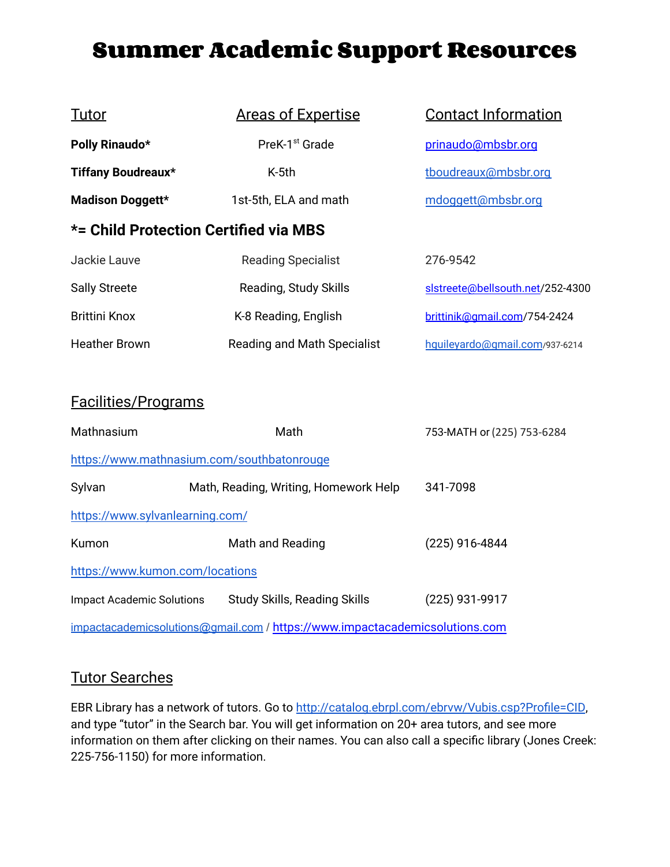# **Summer Academic Support Resources**

| <u>Tutor</u>                          | <b>Areas of Expertise</b>   | <b>Contact Information</b>       |  |
|---------------------------------------|-----------------------------|----------------------------------|--|
| Polly Rinaudo*                        | PreK-1 <sup>st</sup> Grade  | prinaudo@mbsbr.org               |  |
| <b>Tiffany Boudreaux*</b>             | K-5th                       | tboudreaux@mbsbr.org             |  |
| Madison Doggett*                      | 1st-5th, ELA and math       | mdoggett@mbsbr.org               |  |
| *= Child Protection Certified via MBS |                             |                                  |  |
| Jackie Lauve                          | <b>Reading Specialist</b>   | 276-9542                         |  |
| <b>Sally Streete</b>                  | Reading, Study Skills       | slstreete@bellsouth.net/252-4300 |  |
| <b>Brittini Knox</b>                  | K-8 Reading, English        | brittinik@qmail.com/754-2424     |  |
| Heather Brown                         | Reading and Math Specialist | hquileyardo@gmail.com/937-6214   |  |
|                                       |                             |                                  |  |

#### Facilities/Programs

| Mathnasium                       | Math                                                                        | 753-MATH or (225) 753-6284 |
|----------------------------------|-----------------------------------------------------------------------------|----------------------------|
|                                  | https://www.mathnasium.com/southbatonrouge                                  |                            |
| Sylvan                           | Math, Reading, Writing, Homework Help                                       | 341-7098                   |
| https://www.sylvanlearning.com/  |                                                                             |                            |
| Kumon                            | Math and Reading                                                            | (225) 916-4844             |
| https://www.kumon.com/locations  |                                                                             |                            |
| <b>Impact Academic Solutions</b> | <b>Study Skills, Reading Skills</b>                                         | (225) 931-9917             |
|                                  | impactacademicsolutions@gmail.com / https://www.impactacademicsolutions.com |                            |

## Tutor Searches

EBR Library has a network of tutors. Go to <http://catalog.ebrpl.com/ebrvw/Vubis.csp?Profile=CID>, and type "tutor" in the Search bar. You will get information on 20+ area tutors, and see more information on them after clicking on their names. You can also call a specific library (Jones Creek: 225-756-1150) for more information.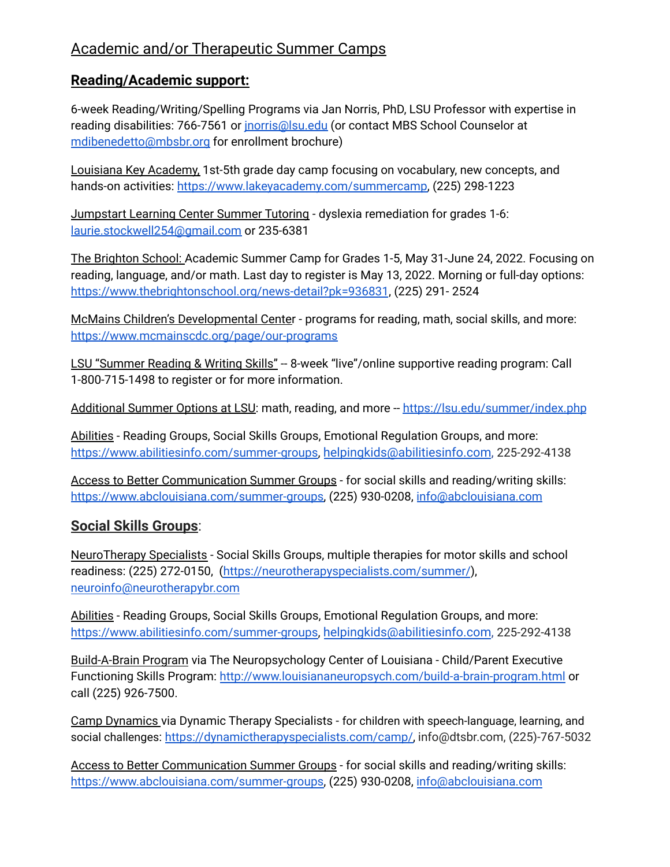### Academic and/or Therapeutic Summer Camps

#### **Reading/Academic support:**

6-week Reading/Writing/Spelling Programs via Jan Norris, PhD, LSU Professor with expertise in reading disabilities: 766-7561 or inorris@lsu.edu (or contact MBS School Counselor at [mdibenedetto@mbsbr.org](mailto:mdibenedetto@mbsbr.org) for enrollment brochure)

Louisiana Key Academy, 1st-5th grade day camp focusing on vocabulary, new concepts, and hands-on activities: [https://www.lakeyacademy.com/summercamp,](https://www.lakeyacademy.com/summercamp) (225) 298-1223

Jumpstart Learning Center Summer Tutoring - dyslexia remediation for grades 1-6: [laurie.stockwell254@gmail.com](mailto:laurie.stockwell254@gmail.com) or 235-6381

The Brighton School: Academic Summer Camp for Grades 1-5, May 31-June 24, 2022. Focusing on reading, language, and/or math. Last day to register is May 13, 2022. Morning or full-day options: <https://www.thebrightonschool.org/news-detail?pk=936831>, (225) 291- 2524

McMains Children's Developmental Center - programs for reading, math, social skills, and more: <https://www.mcmainscdc.org/page/our-programs>

LSU "Summer Reading & Writing Skills" -- 8-week "live"/online supportive reading program: Call 1-800-715-1498 to register or for more information.

Additional Summer Options at LSU: math, reading, and more -- <https://lsu.edu/summer/index.php>

Abilities - Reading Groups, Social Skills Groups, Emotional Regulation Groups, and more: [https://www.abilitiesinfo.com/summer-groups,](https://www.abilitiesinfo.com/summer-groups) [helpingkids@abilitiesinfo.com](mailto:helpingkids@abilitiesinfo.com), 225-292-4138

Access to Better Communication Summer Groups - for social skills and reading/writing skills: [https://www.abclouisiana.com/summer-groups,](https://www.abclouisiana.com/summer-groups) (225) 930-0208, [info@abclouisiana.com](mailto:info@abclouisiana.com)

#### **Social Skills Groups**:

NeuroTherapy Specialists - Social Skills Groups, multiple therapies for motor skills and school readiness: (225) 272-0150, [\(https://neurotherapyspecialists.com/summer/](https://neurotherapyspecialists.com/summer/)), [neuroinfo@neurotherapybr.com](mailto:neuroinfo@neurotherapybr.com)

Abilities - Reading Groups, Social Skills Groups, Emotional Regulation Groups, and more: [https://www.abilitiesinfo.com/summer-groups,](https://www.abilitiesinfo.com/summer-groups) [helpingkids@abilitiesinfo.com](mailto:helpingkids@abilitiesinfo.com), 225-292-4138

Build-A-Brain Program via The Neuropsychology Center of Louisiana - Child/Parent Executive Functioning Skills Program: <http://www.louisiananeuropsych.com/build-a-brain-program.html> or call (225) 926-7500.

Camp Dynamics via Dynamic Therapy Specialists - for children with speech-language, learning, and social challenges: [https://dynamictherapyspecialists.com/camp/,](https://dynamictherapyspecialists.com/camp/) info@dtsbr.com, (225)-767-5032

Access to Better Communication Summer Groups - for social skills and reading/writing skills: [https://www.abclouisiana.com/summer-groups,](https://www.abclouisiana.com/summer-groups) (225) 930-0208, [info@abclouisiana.com](mailto:info@abclouisiana.com)